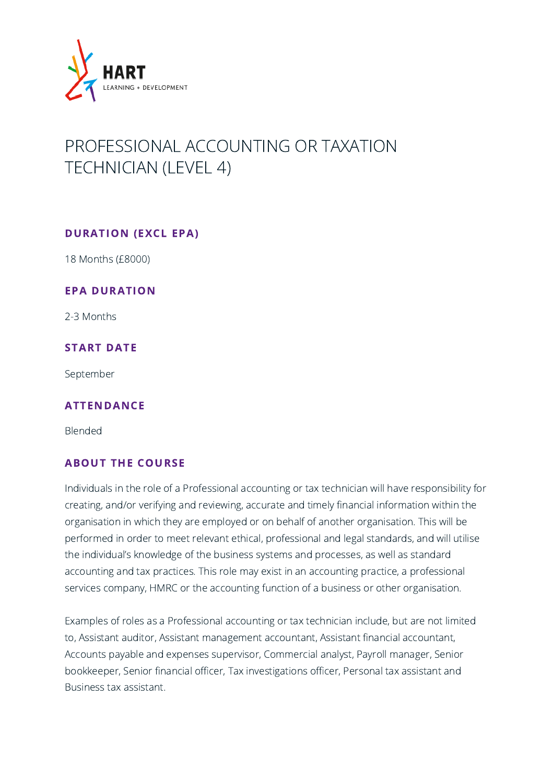

# PROFESSIONAL ACCOUNTING OR TAXATION TECHNICIAN (LEVEL 4)

## DURATION (EXCL EPA)

18 Months (£8000)

### EPA DURATION

2-3 Months

## START DATE

September

#### ATTENDANCE

Blended

## ABOUT THE COURSE

Individuals in the role of a Professional accounting or tax technician will have responsibility for creating, and/or verifying and reviewing, accurate and timely financial information within the organisation in which they are employed or on behalf of another organisation. This will be performed in order to meet relevant ethical, professional and legal standards, and will utilise the individual's knowledge of the business systems and processes, as well as standard accounting and tax practices. This role may exist in an accounting practice, a professional services company, HMRC or the accounting function of a business or other organisation.

Examples of roles as a Professional accounting or tax technician include, but are not limited to, Assistant auditor, Assistant management accountant, Assistant financial accountant, Accounts payable and expenses supervisor, Commercial analyst, Payroll manager, Senior bookkeeper, Senior financial officer, Tax investigations officer, Personal tax assistant and Business tax assistant.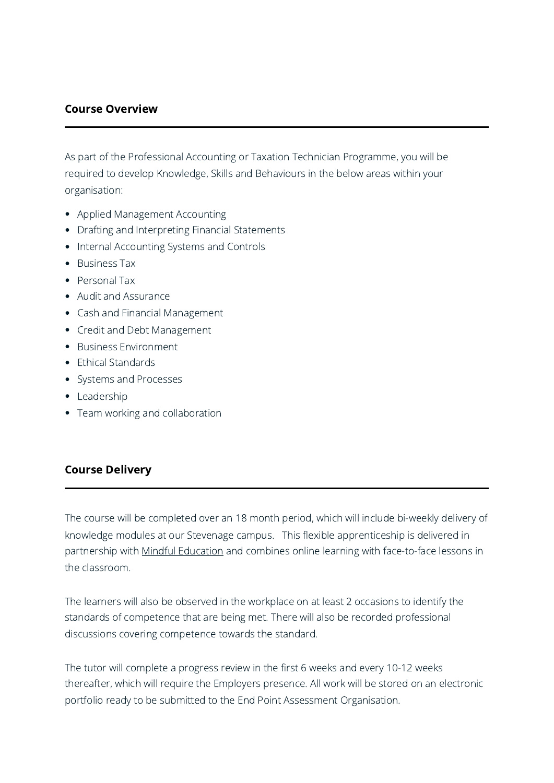# Course Overview

As part of the Professional Accounting or Taxation Technician Programme, you will be required to develop Knowledge, Skills and Behaviours in the below areas within your organisation:

- Applied Management Accounting
- Drafting and Interpreting Financial Statements
- Internal Accounting Systems and Controls
- Business Tax
- Personal Tax
- Audit and Assurance
- Cash and Financial Management
- Credit and Debt Management
- Business Environment
- Ethical Standards
- Systems and Processes
- Leadership
- Team working and collaboration

# Course Delivery

The course will be completed over an 18 month period, which will include bi-weekly delivery of knowledge modules at our Stevenage campus. This flexible apprenticeship is delivered in partnership with Mindful [Education](http://www.mindful-education.co.uk/) and combines online learning with face-to-face lessons in the classroom.

The learners will also be observed in the workplace on at least 2 occasions to identify the standards of competence that are being met. There will also be recorded professional discussions covering competence towards the standard.

The tutor will complete a progress review in the first 6 weeks and every 10-12 weeks thereafter, which will require the Employers presence. All work will be stored on an electronic portfolio ready to be submitted to the End Point Assessment Organisation.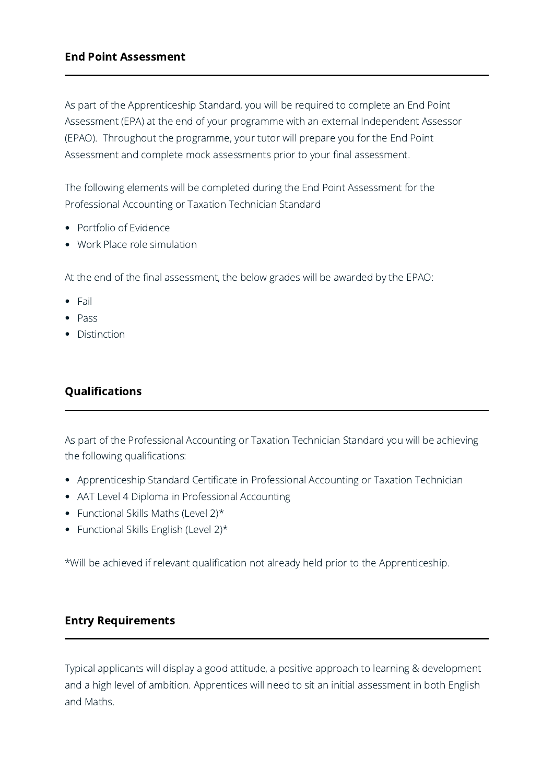## End Point Assessment

As part of the Apprenticeship Standard, you will be required to complete an End Point Assessment (EPA) at the end of your programme with an external Independent Assessor (EPAO). Throughout the programme, your tutor will prepare you for the End Point Assessment and complete mock assessments prior to your final assessment.

The following elements will be completed during the End Point Assessment for the Professional Accounting or Taxation Technician Standard

- Portfolio of Evidence
- Work Place role simulation

At the end of the final assessment, the below grades will be awarded by the EPAO:

- Fail
- Pass
- Distinction

# Qualifications

As part of the Professional Accounting or Taxation Technician Standard you will be achieving the following qualifications:

- Apprenticeship Standard Certificate in Professional Accounting or Taxation Technician
- AAT Level 4 Diploma in Professional Accounting
- Functional Skills Maths (Level  $2$ )\*
- Functional Skills English (Level 2)\*

\*Will be achieved if relevant qualification not already held prior to the Apprenticeship.

## Entry Requirements

Typical applicants will display a good attitude, a positive approach to learning & development and a high level of ambition. Apprentices will need to sit an initial assessment in both English and Maths.